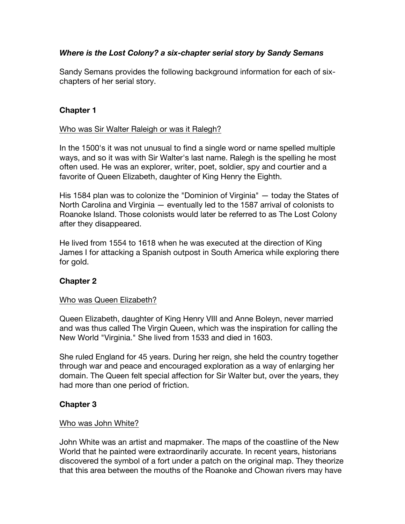## *Where is the Lost Colony? a six-chapter serial story by Sandy Semans*

Sandy Semans provides the following background information for each of sixchapters of her serial story.

### **Chapter 1**

#### Who was Sir Walter Raleigh or was it Ralegh?

In the 1500's it was not unusual to find a single word or name spelled multiple ways, and so it was with Sir Walter's last name. Ralegh is the spelling he most often used. He was an explorer, writer, poet, soldier, spy and courtier and a favorite of Queen Elizabeth, daughter of King Henry the Eighth.

His 1584 plan was to colonize the "Dominion of Virginia" — today the States of North Carolina and Virginia — eventually led to the 1587 arrival of colonists to Roanoke Island. Those colonists would later be referred to as The Lost Colony after they disappeared.

He lived from 1554 to 1618 when he was executed at the direction of King James I for attacking a Spanish outpost in South America while exploring there for gold.

### **Chapter 2**

### Who was Queen Elizabeth?

Queen Elizabeth, daughter of King Henry VIII and Anne Boleyn, never married and was thus called The Virgin Queen, which was the inspiration for calling the New World "Virginia." She lived from 1533 and died in 1603.

She ruled England for 45 years. During her reign, she held the country together through war and peace and encouraged exploration as a way of enlarging her domain. The Queen felt special affection for Sir Walter but, over the years, they had more than one period of friction.

### **Chapter 3**

### Who was John White?

John White was an artist and mapmaker. The maps of the coastline of the New World that he painted were extraordinarily accurate. In recent years, historians discovered the symbol of a fort under a patch on the original map. They theorize that this area between the mouths of the Roanoke and Chowan rivers may have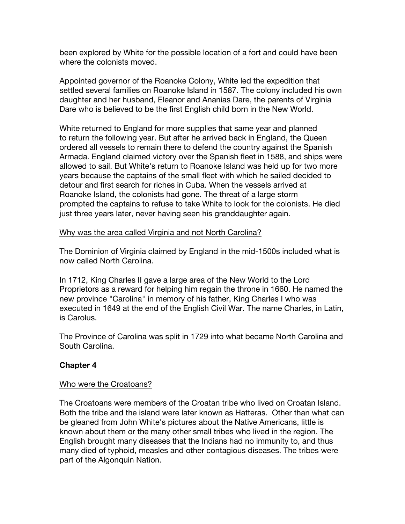been explored by White for the possible location of a fort and could have been where the colonists moved.

Appointed governor of the Roanoke Colony, White led the expedition that settled several families on Roanoke Island in 1587. The colony included his own daughter and her husband, Eleanor and Ananias Dare, the parents of Virginia Dare who is believed to be the first English child born in the New World.

White returned to England for more supplies that same year and planned to return the following year. But after he arrived back in England, the Queen ordered all vessels to remain there to defend the country against the Spanish Armada. England claimed victory over the Spanish fleet in 1588, and ships were allowed to sail. But White's return to Roanoke Island was held up for two more years because the captains of the small fleet with which he sailed decided to detour and first search for riches in Cuba. When the vessels arrived at Roanoke Island, the colonists had gone. The threat of a large storm prompted the captains to refuse to take White to look for the colonists. He died just three years later, never having seen his granddaughter again.

### Why was the area called Virginia and not North Carolina?

The Dominion of Virginia claimed by England in the mid-1500s included what is now called North Carolina.

In 1712, King Charles II gave a large area of the New World to the Lord Proprietors as a reward for helping him regain the throne in 1660. He named the new province "Carolina" in memory of his father, King Charles I who was executed in 1649 at the end of the English Civil War. The name Charles, in Latin, is Carolus.

The Province of Carolina was split in 1729 into what became North Carolina and South Carolina.

# **Chapter 4**

### Who were the Croatoans?

The Croatoans were members of the Croatan tribe who lived on Croatan Island. Both the tribe and the island were later known as Hatteras. Other than what can be gleaned from John White's pictures about the Native Americans, little is known about them or the many other small tribes who lived in the region. The English brought many diseases that the Indians had no immunity to, and thus many died of typhoid, measles and other contagious diseases. The tribes were part of the Algonquin Nation.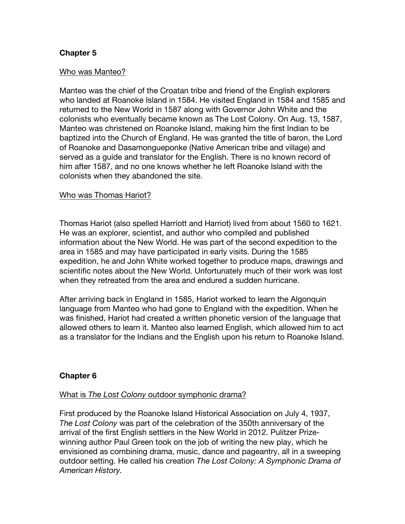## **Chapter 5**

#### Who was Manteo?

Manteo was the chief of the Croatan tribe and friend of the English explorers who landed at Roanoke Island in 1584. He visited England in 1584 and 1585 and returned to the New World in 1587 along with Governor John White and the colonists who eventually became known as The Lost Colony. On Aug. 13, 1587, Manteo was christened on Roanoke Island, making him the first Indian to be baptized into the Church of England. He was granted the title of baron, the Lord of Roanoke and Dasamongueponke (Native American tribe and village) and served as a guide and translator for the English. There is no known record of him after 1587, and no one knows whether he left Roanoke Island with the colonists when they abandoned the site.

#### Who was Thomas Hariot?

Thomas Hariot (also spelled Harriott and Harriot) lived from about 1560 to 1621. He was an explorer, scientist, and author who compiled and published information about the New World. He was part of the second expedition to the area in 1585 and may have participated in early visits. During the 1585 expedition, he and John White worked together to produce maps, drawings and scientific notes about the New World. Unfortunately much of their work was lost when they retreated from the area and endured a sudden hurricane.

After arriving back in England in 1585, Hariot worked to learn the Algonquin language from Manteo who had gone to England with the expedition. When he was finished, Hariot had created a written phonetic version of the language that allowed others to learn it. Manteo also learned English, which allowed him to act as a translator for the Indians and the English upon his return to Roanoke Island.

### **Chapter 6**

#### What is *The Lost Colony* outdoor symphonic drama?

First produced by the Roanoke Island Historical Association on July 4, 1937, *The Lost Colony* was part of the celebration of the 350th anniversary of the arrival of the first English settlers in the New World in 2012. Pulitzer Prizewinning author Paul Green took on the job of writing the new play, which he envisioned as combining drama, music, dance and pageantry, all in a sweeping outdoor setting. He called his creation *The Lost Colony: A Symphonic Drama of American History.*